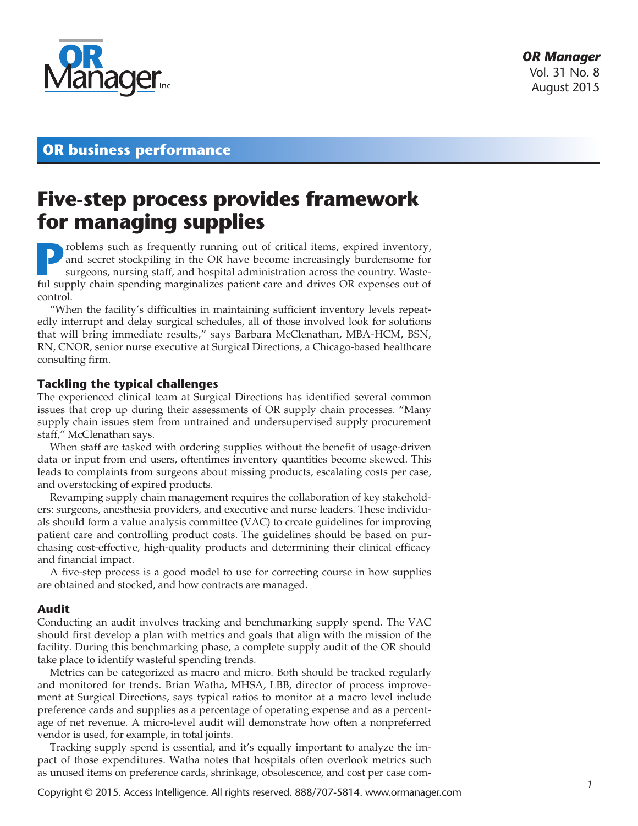

## **OR business performance**

# **Five-step process provides framework for managing supplies**

**Problems such as frequently running out of critical items, expired inventory, and secret stockpiling in the OR have become increasingly burdensome for surgeons, nursing staff, and hospital administration across the countr** and secret stockpiling in the OR have become increasingly burdensome for surgeons, nursing staff, and hospital administration across the country. Wasteful supply chain spending marginalizes patient care and drives OR expenses out of control.

"When the facility's difficulties in maintaining sufficient inventory levels repeatedly interrupt and delay surgical schedules, all of those involved look for solutions that will bring immediate results," says Barbara McClenathan, MBA-HCM, BSN, RN, CNOR, senior nurse executive at Surgical Directions, a Chicago-based healthcare consulting firm.

#### **Tackling the typical challenges**

The experienced clinical team at Surgical Directions has identified several common issues that crop up during their assessments of OR supply chain processes. "Many supply chain issues stem from untrained and undersupervised supply procurement staff," McClenathan says.

When staff are tasked with ordering supplies without the benefit of usage-driven data or input from end users, oftentimes inventory quantities become skewed. This leads to complaints from surgeons about missing products, escalating costs per case, and overstocking of expired products.

Revamping supply chain management requires the collaboration of key stakeholders: surgeons, anesthesia providers, and executive and nurse leaders. These individuals should form a value analysis committee (VAC) to create guidelines for improving patient care and controlling product costs. The guidelines should be based on purchasing cost-effective, high-quality products and determining their clinical efficacy and financial impact.

A five-step process is a good model to use for correcting course in how supplies are obtained and stocked, and how contracts are managed.

#### **Audit**

Conducting an audit involves tracking and benchmarking supply spend. The VAC should first develop a plan with metrics and goals that align with the mission of the facility. During this benchmarking phase, a complete supply audit of the OR should take place to identify wasteful spending trends.

Metrics can be categorized as macro and micro. Both should be tracked regularly and monitored for trends. Brian Watha, MHSA, LBB, director of process improvement at Surgical Directions, says typical ratios to monitor at a macro level include preference cards and supplies as a percentage of operating expense and as a percentage of net revenue. A micro-level audit will demonstrate how often a nonpreferred vendor is used, for example, in total joints.

Tracking supply spend is essential, and it's equally important to analyze the impact of those expenditures. Watha notes that hospitals often overlook metrics such as unused items on preference cards, shrinkage, obsolescence, and cost per case com-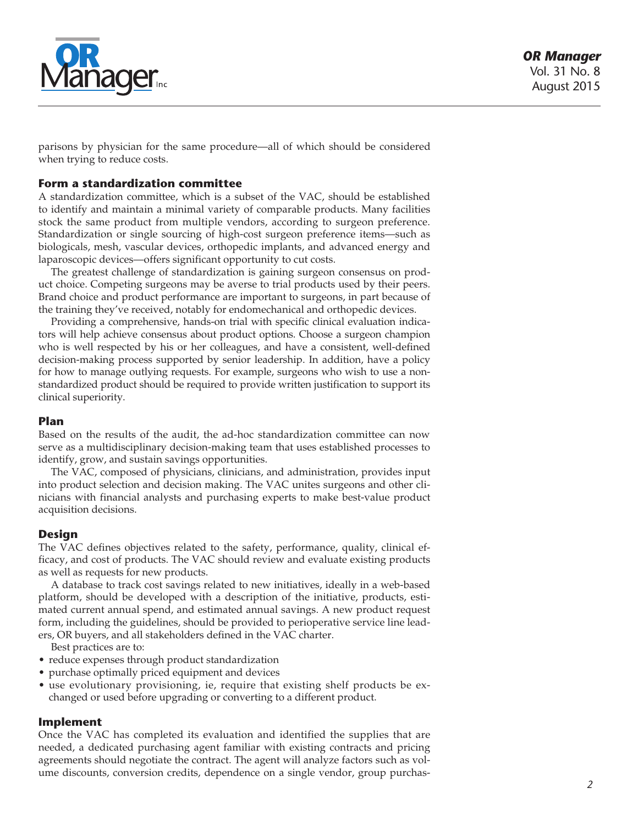

parisons by physician for the same procedure—all of which should be considered when trying to reduce costs.

#### **Form a standardization committee**

A standardization committee, which is a subset of the VAC, should be established to identify and maintain a minimal variety of comparable products. Many facilities stock the same product from multiple vendors, according to surgeon preference. Standardization or single sourcing of high-cost surgeon preference items—such as biologicals, mesh, vascular devices, orthopedic implants, and advanced energy and laparoscopic devices—offers significant opportunity to cut costs.

The greatest challenge of standardization is gaining surgeon consensus on product choice. Competing surgeons may be averse to trial products used by their peers. Brand choice and product performance are important to surgeons, in part because of the training they've received, notably for endomechanical and orthopedic devices.

Providing a comprehensive, hands-on trial with specific clinical evaluation indicators will help achieve consensus about product options. Choose a surgeon champion who is well respected by his or her colleagues, and have a consistent, well-defined decision-making process supported by senior leadership. In addition, have a policy for how to manage outlying requests. For example, surgeons who wish to use a nonstandardized product should be required to provide written justification to support its clinical superiority.

#### **Plan**

Based on the results of the audit, the ad-hoc standardization committee can now serve as a multidisciplinary decision-making team that uses established processes to identify, grow, and sustain savings opportunities.

The VAC, composed of physicians, clinicians, and administration, provides input into product selection and decision making. The VAC unites surgeons and other clinicians with financial analysts and purchasing experts to make best-value product acquisition decisions.

### **Design**

The VAC defines objectives related to the safety, performance, quality, clinical efficacy, and cost of products. The VAC should review and evaluate existing products as well as requests for new products.

A database to track cost savings related to new initiatives, ideally in a web-based platform, should be developed with a description of the initiative, products, estimated current annual spend, and estimated annual savings. A new product request form, including the guidelines, should be provided to perioperative service line leaders, OR buyers, and all stakeholders defined in the VAC charter.

Best practices are to:

- reduce expenses through product standardization
- purchase optimally priced equipment and devices
- use evolutionary provisioning, ie, require that existing shelf products be exchanged or used before upgrading or converting to a different product.

#### **Implement**

Once the VAC has completed its evaluation and identified the supplies that are needed, a dedicated purchasing agent familiar with existing contracts and pricing agreements should negotiate the contract. The agent will analyze factors such as volume discounts, conversion credits, dependence on a single vendor, group purchas-